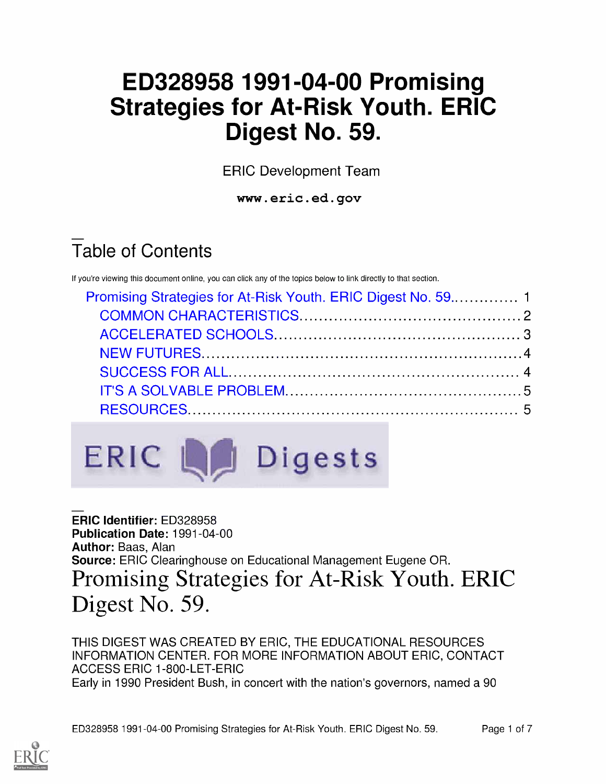# ED328958 1991-04-00 Promising Strategies for At-Risk Youth. ERIC Digest No. 59.

ERIC Development Team

www.eric.ed.gov

# Table of Contents

If you're viewing this document online, you can click any of the topics below to link directly to that section.



ERIC Identifier: ED328958 Publication Date: 1991-04-00 Author: Baas, Alan Source: ERIC Clearinghouse on Educational Management Eugene OR. Promising Strategies for At-Risk Youth. ERIC Digest No. 59.

THIS DIGEST WAS CREATED BY ERIC, THE EDUCATIONAL RESOURCES INFORMATION CENTER. FOR MORE INFORMATION ABOUT ERIC, CONTACT ACCESS ERIC 1-800-LET-ERIC Early in 1990 President Bush, in concert with the nation's governors, named a 90

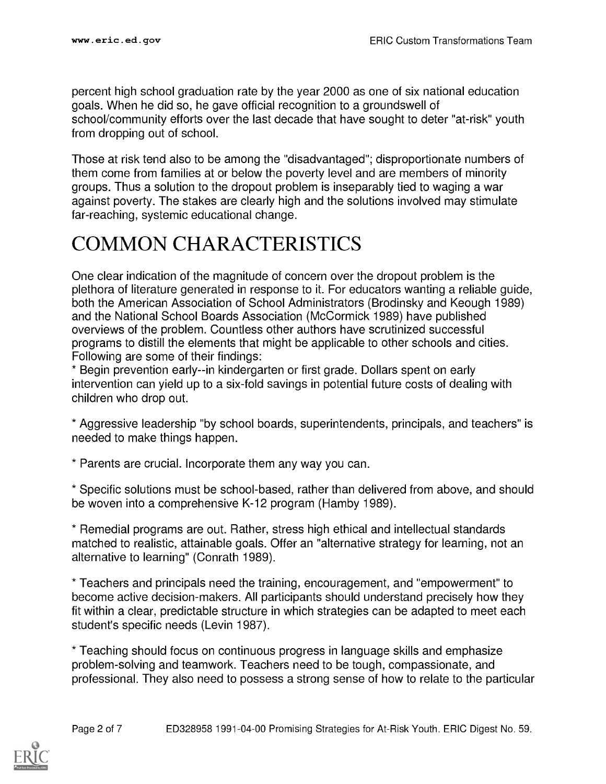percent high school graduation rate by the year 2000 as one of six national education goals. When he did so, he gave official recognition to a groundswell of school/community efforts over the last decade that have sought to deter "at-risk" youth from dropping out of school.

Those at risk tend also to be among the "disadvantaged"; disproportionate numbers of them come from families at or below the poverty level and are members of minority groups. Thus a solution to the dropout problem is inseparably tied to waging a war against poverty. The stakes are clearly high and the solutions involved may stimulate far-reaching, systemic educational change.

#### COMMON CHARACTERISTICS

One clear indication of the magnitude of concern over the dropout problem is the plethora of literature generated in response to it. For educators wanting a reliable guide, both the American Association of School Administrators (Brodinsky and Keough 1989) and the National School Boards Association (McCormick 1989) have published overviews of the problem. Countless other authors have scrutinized successful programs to distill the elements that might be applicable to other schools and cities. Following are some of their findings:

\* Begin prevention early--in kindergarten or first grade. Dollars spent on early intervention can yield up to a six-fold savings in potential future costs of dealing with children who drop out.

\* Aggressive leadership "by school boards, superintendents, principals, and teachers" is needed to make things happen.

\* Parents are crucial. Incorporate them any way you can.

\* Specific solutions must be school-based, rather than delivered from above, and should be woven into a comprehensive K-12 program (Hamby 1989).

\* Remedial programs are out. Rather, stress high ethical and intellectual standards matched to realistic, attainable goals. Offer an "alternative strategy for learning, not an alternative to learning" (Conrath 1989).

\* Teachers and principals need the training, encouragement, and "empowerment" to become active decision-makers. All participants should understand precisely how they fit within a clear, predictable structure in which strategies can be adapted to meet each student's specific needs (Levin 1987).

\* Teaching should focus on continuous progress in language skills and emphasize problem-solving and teamwork. Teachers need to be tough, compassionate, and professional. They also need to possess a strong sense of how to relate to the particular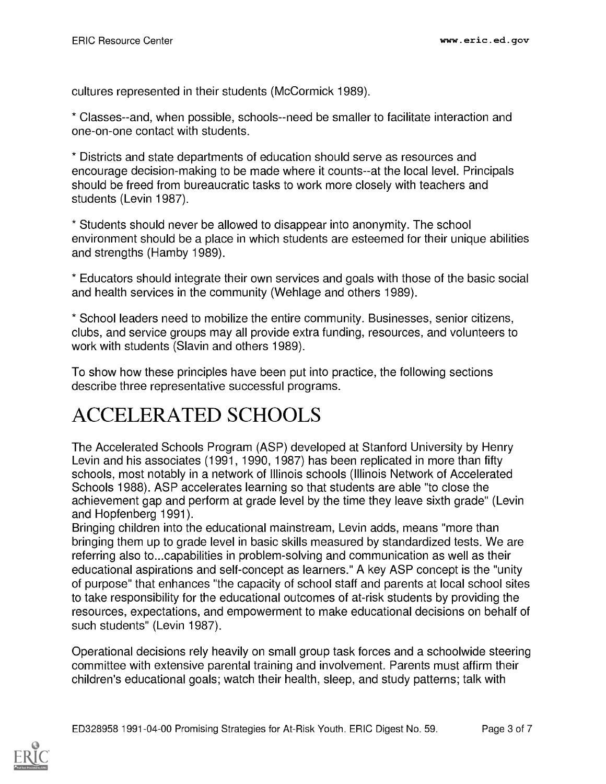cultures represented in their students (McCormick 1989).

\* Classes--and, when possible, schools--need be smaller to facilitate interaction and one-on-one contact with students.

\* Districts and state departments of education should serve as resources and encourage decision-making to be made where it counts--at the local level. Principals should be freed from bureaucratic tasks to work more closely with teachers and students (Levin 1987).

\* Students should never be allowed to disappear into anonymity. The school environment should be a place in which students are esteemed for their unique abilities and strengths (Hamby 1989).

\* Educators should integrate their own services and goals with those of the basic social and health services in the community (Wehlage and others 1989).

\* School leaders need to mobilize the entire community. Businesses, senior citizens, clubs, and service groups may all provide extra funding, resources, and volunteers to work with students (Slavin and others 1989).

To show how these principles have been put into practice, the following sections describe three representative successful programs.

## ACCELERATED SCHOOLS

The Accelerated Schools Program (ASP) developed at Stanford University by Henry Levin and his associates (1991, 1990, 1987) has been replicated in more than fifty schools, most notably in a network of Illinois schools (Illinois Network of Accelerated Schools 1988). ASP accelerates learning so that students are able "to close the achievement gap and perform at grade level by the time they leave sixth grade" (Levin and Hopfenberg 1991).

Bringing children into the educational mainstream, Levin adds, means "more than bringing them up to grade level in basic skills measured by standardized tests. We are referring also to...capabilities in problem-solving and communication as well as their educational aspirations and self-concept as learners." A key ASP concept is the "unity of purpose" that enhances "the capacity of school staff and parents at local school sites to take responsibility for the educational outcomes of at-risk students by providing the resources, expectations, and empowerment to make educational decisions on behalf of such students" (Levin 1987).

Operational decisions rely heavily on small group task forces and a schoolwide steering committee with extensive parental training and involvement. Parents must affirm their children's educational goals; watch their health, sleep, and study patterns; talk with

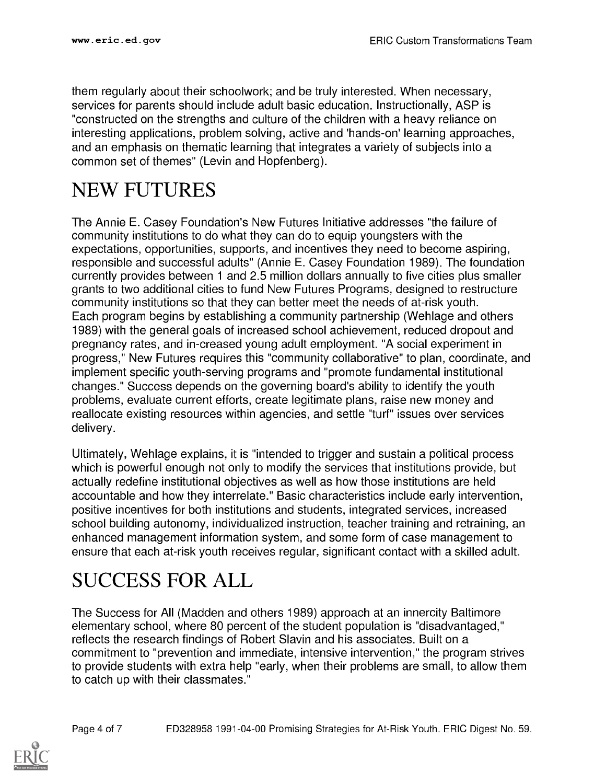them regularly about their schoolwork; and be truly interested. When necessary, services for parents should include adult basic education. Instructionally, ASP is "constructed on the strengths and culture of the children with a heavy reliance on interesting applications, problem solving, active and 'hands-on' learning approaches, and an emphasis on thematic learning that integrates a variety of subjects into a common set of themes" (Levin and Hopfenberg).

#### NEW FUTURES

The Annie E. Casey Foundation's New Futures Initiative addresses "the failure of community institutions to do what they can do to equip youngsters with the expectations, opportunities, supports, and incentives they need to become aspiring, responsible and successful adults" (Annie E. Casey Foundation 1989). The foundation currently provides between 1 and 2.5 million dollars annually to five cities plus smaller grants to two additional cities to fund New Futures Programs, designed to restructure community institutions so that they can better meet the needs of at-risk youth. Each program begins by establishing a community partnership (Wehlage and others 1989) with the general goals of increased school achievement, reduced dropout and pregnancy rates, and in-creased young adult employment. "A social experiment in progress," New Futures requires this "community collaborative" to plan, coordinate, and implement specific youth-serving programs and "promote fundamental institutional changes." Success depends on the governing board's ability to identify the youth problems, evaluate current efforts, create legitimate plans, raise new money and reallocate existing resources within agencies, and settle "turf" issues over services delivery.

Ultimately, Wehlage explains, it is "intended to trigger and sustain a political process which is powerful enough not only to modify the services that institutions provide, but actually redefine institutional objectives as well as how those institutions are held accountable and how they interrelate." Basic characteristics include early intervention, positive incentives for both institutions and students, integrated services, increased school building autonomy, individualized instruction, teacher training and retraining, an enhanced management information system, and some form of case management to ensure that each at-risk youth receives regular, significant contact with a skilled adult.

## SUCCESS FOR ALL

The Success for All (Madden and others 1989) approach at an innercity Baltimore elementary school, where 80 percent of the student population is "disadvantaged," reflects the research findings of Robert Slavin and his associates. Built on a commitment to "prevention and immediate, intensive intervention," the program strives to provide students with extra help "early, when their problems are small, to allow them to catch up with their classmates."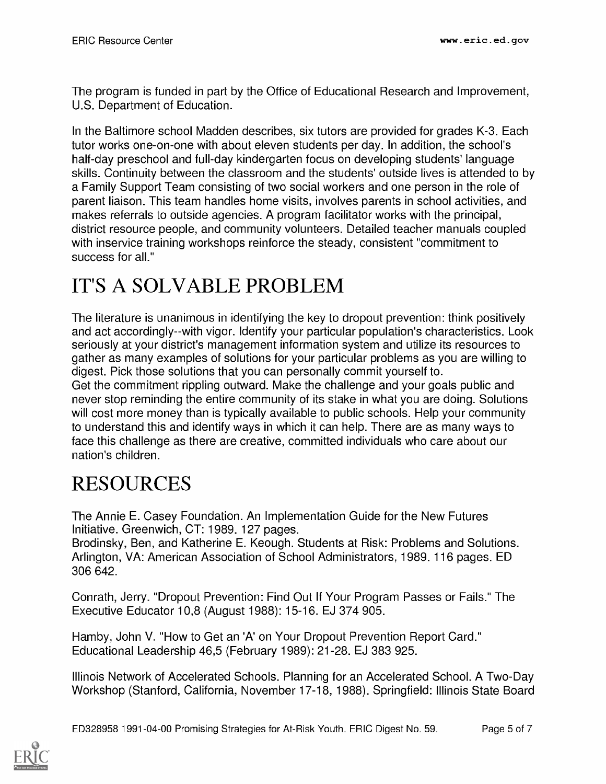The program is funded in part by the Office of Educational Research and Improvement, U.S. Department of Education.

In the Baltimore school Madden describes, six tutors are provided for grades K-3. Each tutor works one-on-one with about eleven students per day. In addition, the school's half-day preschool and full-day kindergarten focus on developing students' language skills. Continuity between the classroom and the students' outside lives is attended to by a Family Support Team consisting of two social workers and one person in the role of parent liaison. This team handles home visits, involves parents in school activities, and makes referrals to outside agencies. A program facilitator works with the principal, district resource people, and community volunteers. Detailed teacher manuals coupled with inservice training workshops reinforce the steady, consistent "commitment to success for all."

### IT'S A SOLVABLE PROBLEM

The literature is unanimous in identifying the key to dropout prevention: think positively and act accordingly--with vigor. Identify your particular population's characteristics. Look seriously at your district's management information system and utilize its resources to gather as many examples of solutions for your particular problems as you are willing to digest. Pick those solutions that you can personally commit yourself to. Get the commitment rippling outward. Make the challenge and your goals public and never stop reminding the entire community of its stake in what you are doing. Solutions will cost more money than is typically available to public schools. Help your community to understand this and identify ways in which it can help. There are as many ways to face this challenge as there are creative, committed individuals who care about our nation's children.

## RESOURCES

The Annie E. Casey Foundation. An Implementation Guide for the New Futures Initiative. Greenwich, CT: 1989. 127 pages.

Brodinsky, Ben, and Katherine E. Keough. Students at Risk: Problems and Solutions. Arlington, VA: American Association of School Administrators, 1989. 116 pages. ED 306 642.

Conrath, Jerry. "Dropout Prevention: Find Out If Your Program Passes or Fails." The Executive Educator 10,8 (August 1988): 15-16. EJ 374 905.

Hamby, John V. "How to Get an 'A' on Your Dropout Prevention Report Card." Educational Leadership 46,5 (February 1989): 21-28. EJ 383 925.

Illinois Network of Accelerated Schools. Planning for an Accelerated School. A Two-Day Workshop (Stanford, California, November 17-18, 1988). Springfield: Illinois State Board

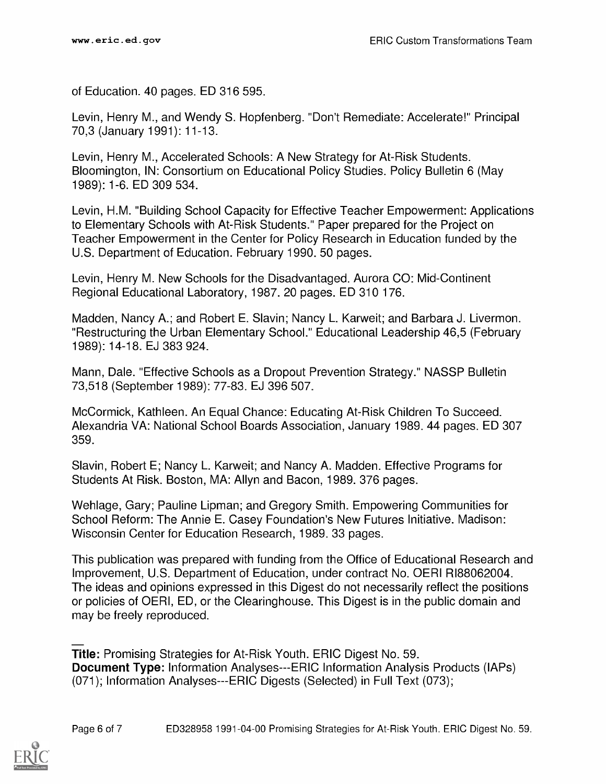of Education. 40 pages. ED 316 595.

Levin, Henry M., and Wendy S. Hopfenberg. "Don't Remediate: Accelerate!" Principal 70,3 (January 1991): 11-13.

Levin, Henry M., Accelerated Schools: A New Strategy for At-Risk Students. Bloomington, IN: Consortium on Educational Policy Studies. Policy Bulletin 6 (May 1989): 1-6. ED 309 534.

Levin, H.M. "Building School Capacity for Effective Teacher Empowerment: Applications to Elementary Schools with At-Risk Students." Paper prepared for the Project on Teacher Empowerment in the Center for Policy Research in Education funded by the U.S. Department of Education. February 1990. 50 pages.

Levin, Henry M. New Schools for the Disadvantaged. Aurora CO: Mid-Continent Regional Educational Laboratory, 1987. 20 pages. ED 310 176.

Madden, Nancy A.; and Robert E. Slavin; Nancy L. Karweit; and Barbara J. Livermon. "Restructuring the Urban Elementary School." Educational Leadership 46,5 (February 1989): 14-18. EJ 383 924.

Mann, Dale. "Effective Schools as a Dropout Prevention Strategy." NASSP Bulletin 73,518 (September 1989): 77-83. EJ 396 507.

McCormick, Kathleen. An Equal Chance: Educating At-Risk Children To Succeed. Alexandria VA: National School Boards Association, January 1989. 44 pages. ED 307 359.

Slavin, Robert E; Nancy L. Karweit; and Nancy A. Madden. Effective Programs for Students At Risk. Boston, MA: Allyn and Bacon, 1989. 376 pages.

Wehlage, Gary; Pauline Lipman; and Gregory Smith. Empowering Communities for School Reform: The Annie E. Casey Foundation's New Futures Initiative. Madison: Wisconsin Center for Education Research, 1989. 33 pages.

This publication was prepared with funding from the Office of Educational Research and Improvement, U.S. Department of Education, under contract No. OERI RI88062004. The ideas and opinions expressed in this Digest do not necessarily reflect the positions or policies of OERI, ED, or the Clearinghouse. This Digest is in the public domain and may be freely reproduced.

Title: Promising Strategies for At-Risk Youth. ERIC Digest No. 59. Document Type: Information Analyses---ERIC Information Analysis Products (IAPs) (071); Information Analyses---ERIC Digests (Selected) in Full Text (073);